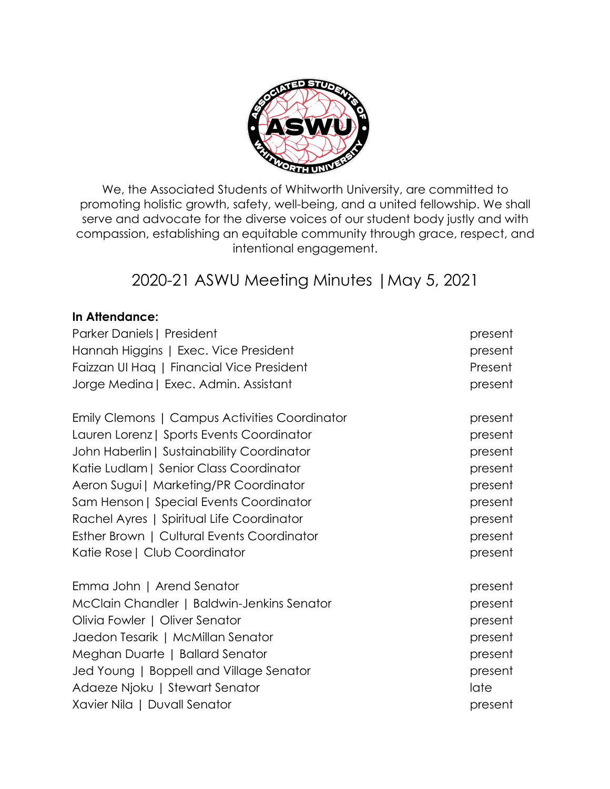

We, the Associated Students of Whitworth University, are committed to promoting holistic growth, safety, well-being, and a united fellowship. We shall serve and advocate for the diverse voices of our student body justly and with compassion, establishing an equitable community through grace, respect, and intentional engagement.

# 2020-21 ASWU Meeting Minutes |May 5, 2021

# **In Attendance:**

| Parker Daniels   President                    | present |
|-----------------------------------------------|---------|
| Hannah Higgins   Exec. Vice President         | present |
| Faizzan UI Hag   Financial Vice President     | Present |
| Jorge Medina   Exec. Admin. Assistant         | present |
| Emily Clemons   Campus Activities Coordinator | present |
| Lauren Lorenz   Sports Events Coordinator     | present |
| John Haberlin   Sustainability Coordinator    | present |
| Katie Ludlam   Senior Class Coordinator       | present |
| Aeron Sugui   Marketing/PR Coordinator        | present |
| Sam Henson   Special Events Coordinator       | present |
| Rachel Ayres   Spiritual Life Coordinator     | present |
| Esther Brown   Cultural Events Coordinator    | present |
| Katie Rose   Club Coordinator                 | present |
| Emma John   Arend Senator                     | present |
| McClain Chandler   Baldwin-Jenkins Senator    | present |
| Olivia Fowler   Oliver Senator                | present |
| Jaedon Tesarik   McMillan Senator             | present |
| Meghan Duarte   Ballard Senator               | present |
| Jed Young   Boppell and Village Senator       | present |
| Adaeze Njoku   Stewart Senator                | late    |
| Xavier Nila   Duvall Senator                  | present |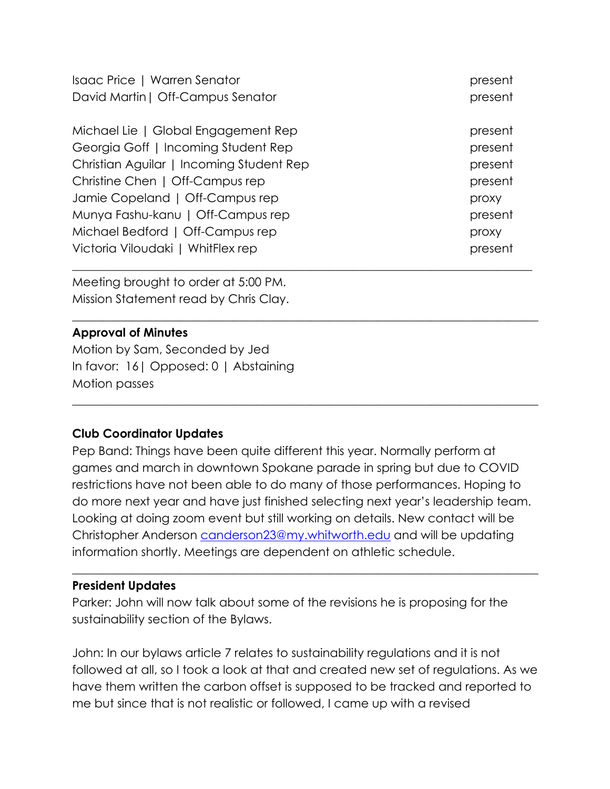| Isaac Price   Warren Senator             | present |
|------------------------------------------|---------|
| David Martin   Off-Campus Senator        | present |
|                                          |         |
| Michael Lie   Global Engagement Rep      | present |
| Georgia Goff   Incoming Student Rep      | present |
| Christian Aguilar   Incoming Student Rep | present |
| Christine Chen   Off-Campus rep          | present |
| Jamie Copeland   Off-Campus rep          | proxy   |
| Munya Fashu-kanu   Off-Campus rep        | present |
| Michael Bedford   Off-Campus rep         | proxy   |
| Victoria Viloudaki   WhitFlex rep        | present |
|                                          |         |

\_\_\_\_\_\_\_\_\_\_\_\_\_\_\_\_\_\_\_\_\_\_\_\_\_\_\_\_\_\_\_\_\_\_\_\_\_\_\_\_\_\_\_\_\_\_\_\_\_\_\_\_\_\_\_\_\_\_\_\_\_\_\_\_\_\_\_\_\_\_\_\_\_\_\_\_\_\_

 $\_$  , and the set of the set of the set of the set of the set of the set of the set of the set of the set of the set of the set of the set of the set of the set of the set of the set of the set of the set of the set of th

Meeting brought to order at 5:00 PM. Mission Statement read by Chris Clay.

# **Approval of Minutes**

Motion by Sam, Seconded by Jed In favor: 16| Opposed: 0 | Abstaining Motion passes

# **Club Coordinator Updates**

Pep Band: Things have been quite different this year. Normally perform at games and march in downtown Spokane parade in spring but due to COVID restrictions have not been able to do many of those performances. Hoping to do more next year and have just finished selecting next year's leadership team. Looking at doing zoom event but still working on details. New contact will be Christopher Anderson canderson23@my.whitworth.edu and will be updating information shortly. Meetings are dependent on athletic schedule.

 $\_$  , and the set of the set of the set of the set of the set of the set of the set of the set of the set of the set of the set of the set of the set of the set of the set of the set of the set of the set of the set of th

# **President Updates**

Parker: John will now talk about some of the revisions he is proposing for the sustainability section of the Bylaws.

John: In our bylaws article 7 relates to sustainability regulations and it is not followed at all, so I took a look at that and created new set of regulations. As we have them written the carbon offset is supposed to be tracked and reported to me but since that is not realistic or followed, I came up with a revised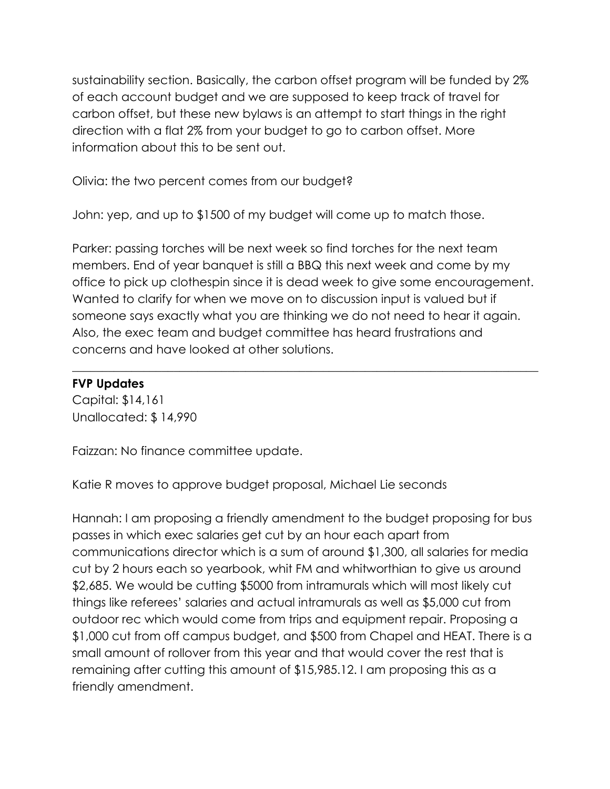sustainability section. Basically, the carbon offset program will be funded by 2% of each account budget and we are supposed to keep track of travel for carbon offset, but these new bylaws is an attempt to start things in the right direction with a flat 2% from your budget to go to carbon offset. More information about this to be sent out.

Olivia: the two percent comes from our budget?

John: yep, and up to \$1500 of my budget will come up to match those.

Parker: passing torches will be next week so find torches for the next team members. End of year banquet is still a BBQ this next week and come by my office to pick up clothespin since it is dead week to give some encouragement. Wanted to clarify for when we move on to discussion input is valued but if someone says exactly what you are thinking we do not need to hear it again. Also, the exec team and budget committee has heard frustrations and concerns and have looked at other solutions.

\_\_\_\_\_\_\_\_\_\_\_\_\_\_\_\_\_\_\_\_\_\_\_\_\_\_\_\_\_\_\_\_\_\_\_\_\_\_\_\_\_\_\_\_\_\_\_\_\_\_\_\_\_\_\_\_\_\_\_\_\_\_\_\_\_\_\_\_\_\_\_\_\_\_\_\_\_\_

## **FVP Updates**

Capital: \$14,161 Unallocated: \$ 14,990

Faizzan: No finance committee update.

Katie R moves to approve budget proposal, Michael Lie seconds

Hannah: I am proposing a friendly amendment to the budget proposing for bus passes in which exec salaries get cut by an hour each apart from communications director which is a sum of around \$1,300, all salaries for media cut by 2 hours each so yearbook, whit FM and whitworthian to give us around \$2,685. We would be cutting \$5000 from intramurals which will most likely cut things like referees' salaries and actual intramurals as well as \$5,000 cut from outdoor rec which would come from trips and equipment repair. Proposing a \$1,000 cut from off campus budget, and \$500 from Chapel and HEAT. There is a small amount of rollover from this year and that would cover the rest that is remaining after cutting this amount of \$15,985.12. I am proposing this as a friendly amendment.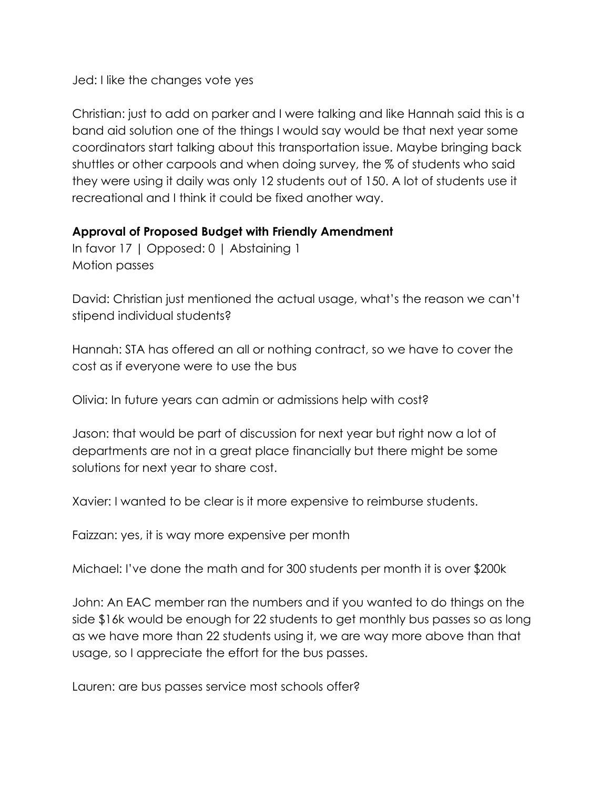Jed: I like the changes vote yes

Christian: just to add on parker and I were talking and like Hannah said this is a band aid solution one of the things I would say would be that next year some coordinators start talking about this transportation issue. Maybe bringing back shuttles or other carpools and when doing survey, the % of students who said they were using it daily was only 12 students out of 150. A lot of students use it recreational and I think it could be fixed another way.

## **Approval of Proposed Budget with Friendly Amendment**

In favor 17 | Opposed: 0 | Abstaining 1 Motion passes

David: Christian just mentioned the actual usage, what's the reason we can't stipend individual students?

Hannah: STA has offered an all or nothing contract, so we have to cover the cost as if everyone were to use the bus

Olivia: In future years can admin or admissions help with cost?

Jason: that would be part of discussion for next year but right now a lot of departments are not in a great place financially but there might be some solutions for next year to share cost.

Xavier: I wanted to be clear is it more expensive to reimburse students.

Faizzan: yes, it is way more expensive per month

Michael: I've done the math and for 300 students per month it is over \$200k

John: An EAC member ran the numbers and if you wanted to do things on the side \$16k would be enough for 22 students to get monthly bus passes so as long as we have more than 22 students using it, we are way more above than that usage, so I appreciate the effort for the bus passes.

Lauren: are bus passes service most schools offer?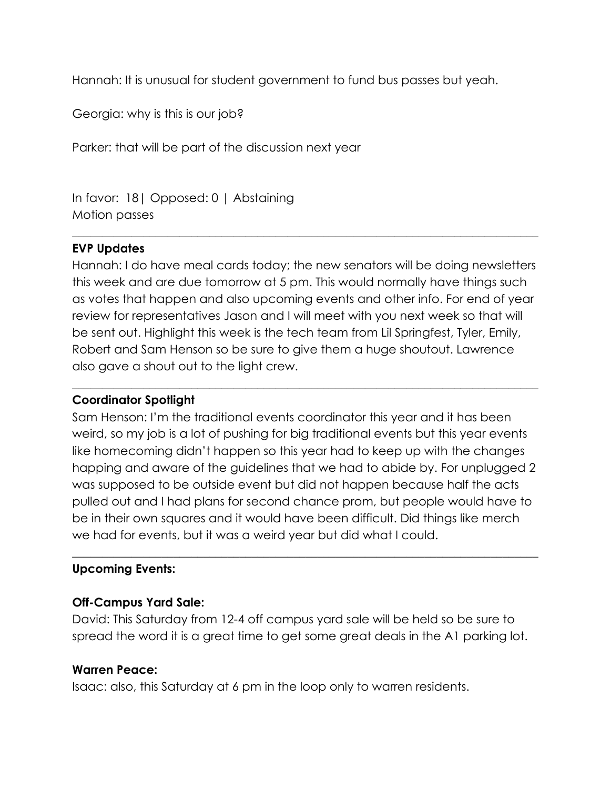Hannah: It is unusual for student government to fund bus passes but yeah.

Georgia: why is this is our job?

Parker: that will be part of the discussion next year

In favor: 18| Opposed: 0 | Abstaining Motion passes

# **EVP Updates**

Hannah: I do have meal cards today; the new senators will be doing newsletters this week and are due tomorrow at 5 pm. This would normally have things such as votes that happen and also upcoming events and other info. For end of year review for representatives Jason and I will meet with you next week so that will be sent out. Highlight this week is the tech team from Lil Springfest, Tyler, Emily, Robert and Sam Henson so be sure to give them a huge shoutout. Lawrence also gave a shout out to the light crew.

 $\_$  , and the set of the set of the set of the set of the set of the set of the set of the set of the set of the set of the set of the set of the set of the set of the set of the set of the set of the set of the set of th

\_\_\_\_\_\_\_\_\_\_\_\_\_\_\_\_\_\_\_\_\_\_\_\_\_\_\_\_\_\_\_\_\_\_\_\_\_\_\_\_\_\_\_\_\_\_\_\_\_\_\_\_\_\_\_\_\_\_\_\_\_\_\_\_\_\_\_\_\_\_\_\_\_\_\_\_\_\_

# **Coordinator Spotlight**

Sam Henson: I'm the traditional events coordinator this year and it has been weird, so my job is a lot of pushing for big traditional events but this year events like homecoming didn't happen so this year had to keep up with the changes happing and aware of the guidelines that we had to abide by. For unplugged 2 was supposed to be outside event but did not happen because half the acts pulled out and I had plans for second chance prom, but people would have to be in their own squares and it would have been difficult. Did things like merch we had for events, but it was a weird year but did what I could.

 $\_$  , and the set of the set of the set of the set of the set of the set of the set of the set of the set of the set of the set of the set of the set of the set of the set of the set of the set of the set of the set of th

# **Upcoming Events:**

# **Off-Campus Yard Sale:**

David: This Saturday from 12-4 off campus yard sale will be held so be sure to spread the word it is a great time to get some great deals in the A1 parking lot.

# **Warren Peace:**

Isaac: also, this Saturday at 6 pm in the loop only to warren residents.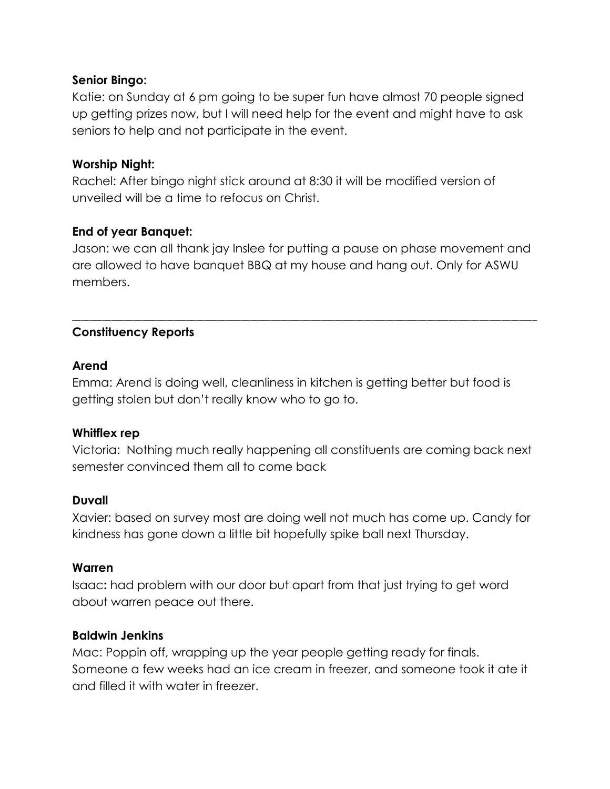# **Senior Bingo:**

Katie: on Sunday at 6 pm going to be super fun have almost 70 people signed up getting prizes now, but I will need help for the event and might have to ask seniors to help and not participate in the event.

# **Worship Night:**

Rachel: After bingo night stick around at 8:30 it will be modified version of unveiled will be a time to refocus on Christ.

## **End of year Banquet:**

Jason: we can all thank jay Inslee for putting a pause on phase movement and are allowed to have banquet BBQ at my house and hang out. Only for ASWU members.

\_\_\_\_\_\_\_\_\_\_\_\_\_\_\_\_\_\_\_\_\_\_\_\_\_\_\_\_\_\_\_\_\_\_\_\_\_\_\_\_\_\_\_\_\_\_\_\_\_\_\_\_\_\_\_\_\_\_\_\_\_\_\_\_\_\_\_\_\_\_\_\_\_\_\_\_\_\_\_\_\_\_\_\_\_\_\_\_\_\_\_\_\_\_\_\_\_\_\_\_\_\_\_\_\_

# **Constituency Reports**

## **Arend**

Emma: Arend is doing well, cleanliness in kitchen is getting better but food is getting stolen but don't really know who to go to.

#### **Whitflex rep**

Victoria: Nothing much really happening all constituents are coming back next semester convinced them all to come back

#### **Duvall**

Xavier: based on survey most are doing well not much has come up. Candy for kindness has gone down a little bit hopefully spike ball next Thursday.

#### **Warren**

Isaac**:** had problem with our door but apart from that just trying to get word about warren peace out there.

# **Baldwin Jenkins**

Mac: Poppin off, wrapping up the year people getting ready for finals. Someone a few weeks had an ice cream in freezer, and someone took it ate it and filled it with water in freezer.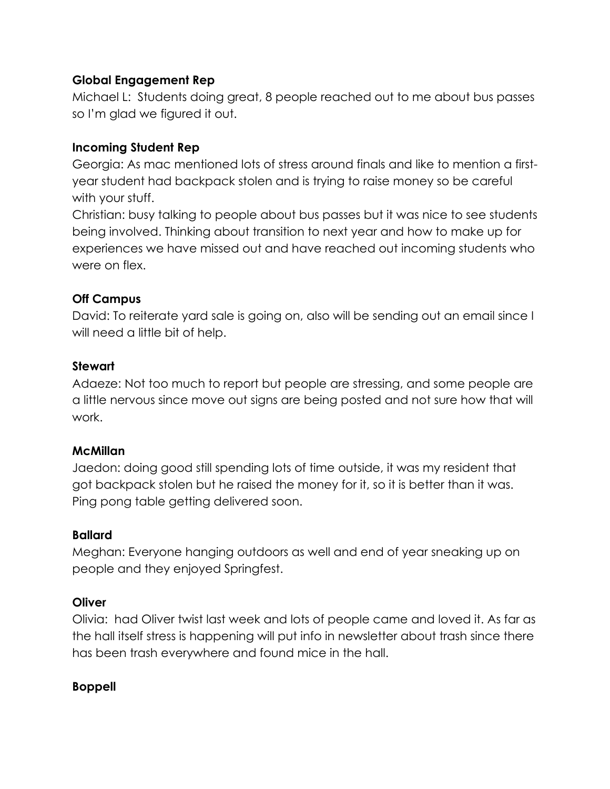# **Global Engagement Rep**

Michael L: Students doing great, 8 people reached out to me about bus passes so I'm glad we figured it out.

# **Incoming Student Rep**

Georgia: As mac mentioned lots of stress around finals and like to mention a firstyear student had backpack stolen and is trying to raise money so be careful with your stuff.

Christian: busy talking to people about bus passes but it was nice to see students being involved. Thinking about transition to next year and how to make up for experiences we have missed out and have reached out incoming students who were on flex.

# **Off Campus**

David: To reiterate yard sale is going on, also will be sending out an email since I will need a little bit of help.

# **Stewart**

Adaeze: Not too much to report but people are stressing, and some people are a little nervous since move out signs are being posted and not sure how that will work.

# **McMillan**

Jaedon: doing good still spending lots of time outside, it was my resident that got backpack stolen but he raised the money for it, so it is better than it was. Ping pong table getting delivered soon.

# **Ballard**

Meghan: Everyone hanging outdoors as well and end of year sneaking up on people and they enjoyed Springfest.

# **Oliver**

Olivia: had Oliver twist last week and lots of people came and loved it. As far as the hall itself stress is happening will put info in newsletter about trash since there has been trash everywhere and found mice in the hall.

# **Boppell**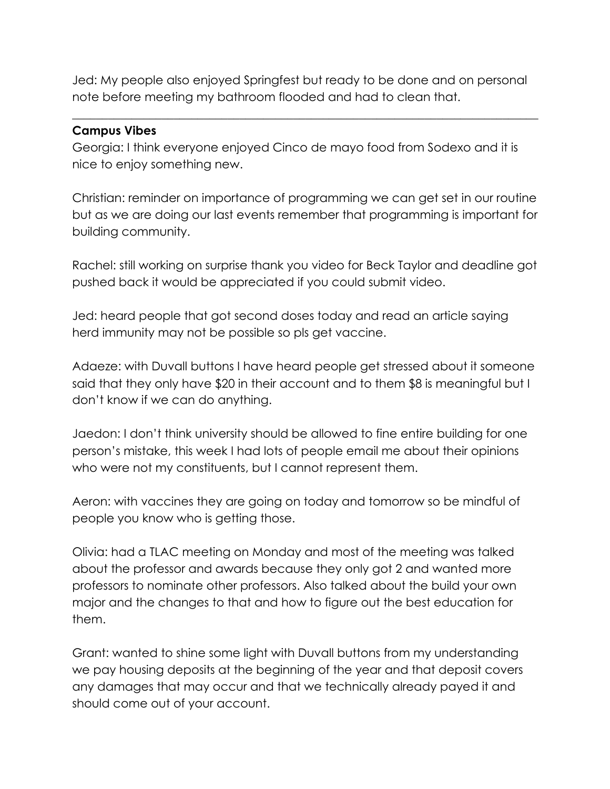Jed: My people also enjoyed Springfest but ready to be done and on personal note before meeting my bathroom flooded and had to clean that.

 $\_$  , and the set of the set of the set of the set of the set of the set of the set of the set of the set of the set of the set of the set of the set of the set of the set of the set of the set of the set of the set of th

# **Campus Vibes**

Georgia: I think everyone enjoyed Cinco de mayo food from Sodexo and it is nice to enjoy something new.

Christian: reminder on importance of programming we can get set in our routine but as we are doing our last events remember that programming is important for building community.

Rachel: still working on surprise thank you video for Beck Taylor and deadline got pushed back it would be appreciated if you could submit video.

Jed: heard people that got second doses today and read an article saying herd immunity may not be possible so pls get vaccine.

Adaeze: with Duvall buttons I have heard people get stressed about it someone said that they only have \$20 in their account and to them \$8 is meaningful but I don't know if we can do anything.

Jaedon: I don't think university should be allowed to fine entire building for one person's mistake, this week I had lots of people email me about their opinions who were not my constituents, but I cannot represent them.

Aeron: with vaccines they are going on today and tomorrow so be mindful of people you know who is getting those.

Olivia: had a TLAC meeting on Monday and most of the meeting was talked about the professor and awards because they only got 2 and wanted more professors to nominate other professors. Also talked about the build your own major and the changes to that and how to figure out the best education for them.

Grant: wanted to shine some light with Duvall buttons from my understanding we pay housing deposits at the beginning of the year and that deposit covers any damages that may occur and that we technically already payed it and should come out of your account.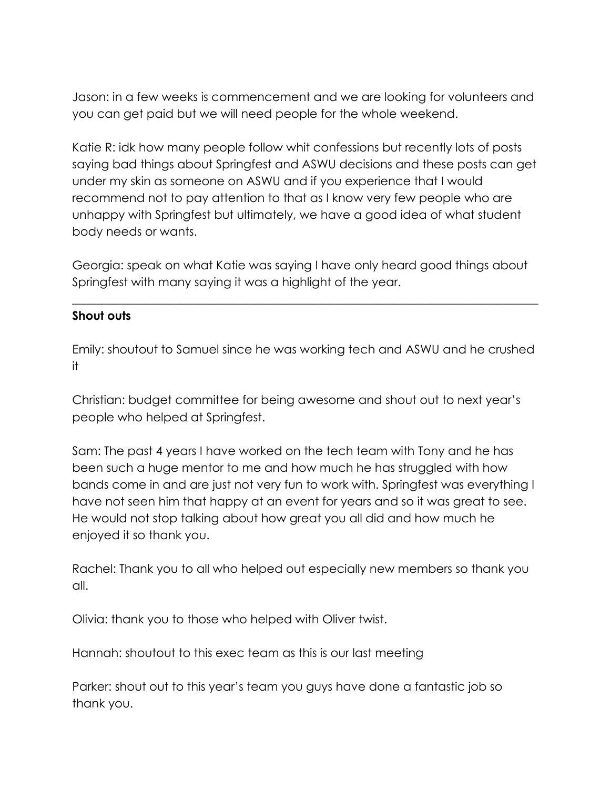Jason: in a few weeks is commencement and we are looking for volunteers and you can get paid but we will need people for the whole weekend.

Katie R: idk how many people follow whit confessions but recently lots of posts saying bad things about Springfest and ASWU decisions and these posts can get under my skin as someone on ASWU and if you experience that I would recommend not to pay attention to that as I know very few people who are unhappy with Springfest but ultimately, we have a good idea of what student body needs or wants.

Georgia: speak on what Katie was saying I have only heard good things about Springfest with many saying it was a highlight of the year.

 $\_$  , and the set of the set of the set of the set of the set of the set of the set of the set of the set of the set of the set of the set of the set of the set of the set of the set of the set of the set of the set of th

## **Shout outs**

Emily: shoutout to Samuel since he was working tech and ASWU and he crushed it

Christian: budget committee for being awesome and shout out to next year's people who helped at Springfest.

Sam: The past 4 years I have worked on the tech team with Tony and he has been such a huge mentor to me and how much he has struggled with how bands come in and are just not very fun to work with. Springfest was everything I have not seen him that happy at an event for years and so it was great to see. He would not stop talking about how great you all did and how much he enjoyed it so thank you.

Rachel: Thank you to all who helped out especially new members so thank you all.

Olivia: thank you to those who helped with Oliver twist.

Hannah: shoutout to this exec team as this is our last meeting

Parker: shout out to this year's team you guys have done a fantastic job so thank you.